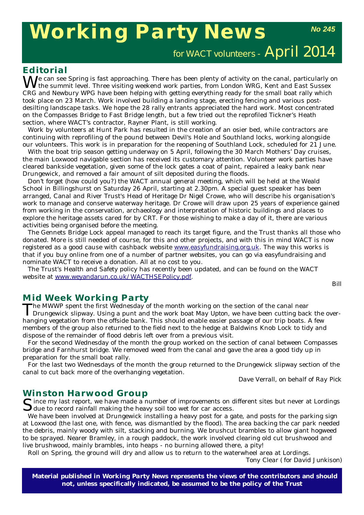# **Working Party News**

*No 245*

for WACT volunteers - April 2014

# **Editorial**

We can see Spring is fast approaching. There has been plenty of activity on the canal, particularly on the summit level. Three visiting weekend work parties, from London WRG, Kent and East Sussex CRG and Newbury WPG have been helping with getting everything ready for the small boat rally which took place on 23 March. Work involved building a landing stage, erecting fencing and various postdesilting landscape tasks. We hope the 28 rally entrants appreciated the hard work. Most concentrated on the Compasses Bridge to Fast Bridge length, but a few tried out the reprofiled Tickner's Heath section, where WACT's contractor, Rayner Plant, is still working.

Work by volunteers at Hunt Park has resulted in the creation of an osier bed, while contractors are continuing with reprofiling of the pound between Devil's Hole and Southland locks, working alongside our volunteers. This work is in preparation for the reopening of Southland Lock, scheduled for 21 June.

With the boat trip season getting underway on 5 April, following the 30 March Mothers' Day cruises, the main Loxwood navigable section has received its customary attention. Volunteer work parties have cleared bankside vegetation, given some of the lock gates a coat of paint, repaired a leaky bank near Drungewick, and removed a fair amount of silt deposited during the floods.

Don't forget (how could you?) the WACT annual general meeting, which will be held at the Weald School in Billingshurst on Saturday 26 April, starting at 2.30pm. A special guest speaker has been arranged, Canal and River Trust's Head of Heritage Dr Nigel Crowe, who will describe his organisation's work to manage and conserve waterway heritage. Dr Crowe will draw upon 25 years of experience gained from working in the conservation, archaeology and interpretation of historic buildings and places to explore the heritage assets cared for by CRT. For those wishing to make a day of it, there are various activities being organised before the meeting.

The Gennets Bridge Lock appeal managed to reach its target figure, and the Trust thanks all those who donated. More is still needed of course, for this and other projects, and with this in mind WACT is now registered as a good cause with cashback website www.easyfundraising.org.uk. The way this works is that if you buy online from one of a number of partner websites, you can go via easyfundraising and nominate WACT to receive a donation. All at no cost to you.

The Trust's Health and Safety policy has recently been updated, and can be found on the WACT website at www.weyandarun.co.uk/WACTHSEPolicy.pdf.

# **Mid Week Working Party**

The MWWP spent the first Wednesday of the month working on the section of the canal near<br>Drungewick slipway. Using a punt and the work boat *May Upton*, we have been cutting back the overhanging vegetation from the offside bank. This should enable easier passage of our trip boats. A few members of the group also returned to the field next to the hedge at Baldwins Knob Lock to tidy and dispose of the remainder of flood debris left over from a previous visit.

For the second Wednesday of the month the group worked on the section of canal between Compasses bridge and Farnhurst bridge. We removed weed from the canal and gave the area a good tidy up in preparation for the small boat rally.

For the last two Wednesdays of the month the group returned to the Drungewick slipway section of the canal to cut back more of the overhanging vegetation.

*Dave Verrall, on behalf of Ray Pick*

## **Winston Harwood Group**

Since my last report, we have made a number of improvements on different sites but never at Lordings  $\bigcup$  due to record rainfall making the heavy soil too wet for car access.

We have been involved at Drungewick installing a heavy post for a gate, and posts for the parking sign at Loxwood (the last one, with fence, was dismantled by the flood). The area backing the car park needed the debris, mainly woody with silt, stacking and burning. We brushcut brambles to allow giant hogweed to be sprayed. Nearer Bramley, in a rough paddock, the work involved clearing old cut brushwood and live brushwood, mainly brambles, into heaps - no burning allowed there, a pity!

Roll on Spring, the ground will dry and allow us to return to the waterwheel area at Lordings.

*Tony Clear ( for David Junkison)*

**Material published in** *Working Party News* **represents the views of the contributors and should not, unless specifically indicated, be assumed to be the policy of the Trust**

*Bill*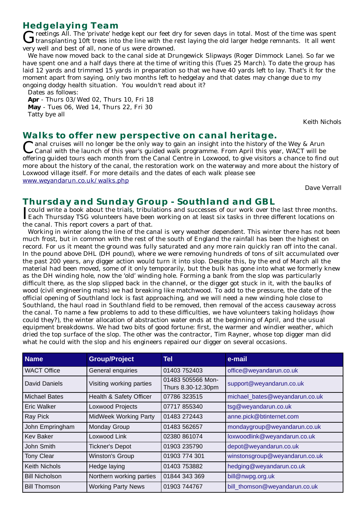**Hedgelaying Team**<br> **C** reetings All. The 'private' hedge kept our feet dry for seven days in total. Most of the time was spent Greetings All. The 'private' hedge kept our feet dry for seven days in total. Most of the time was spent Gransplanting 10ft trees into the line with the rest laying the old larger hedge remnants. It all went very well and best of all, none of us were drowned.

We have now moved back to the canal side at Drungewick Slipways (Roger Dimmock Lane). So far we have spent one and a half days there at the time of writing this (Tues 25 March). To date the group has laid 12 yards and trimmed 15 yards in preparation so that we have 40 yards left to lay. That's it for the moment apart from saying, only two months left to hedgelay and that dates may change due to my ongoing dodgy health situation. You wouldn't read about it?

Dates as follows:

**Apr** - Thurs 03/Wed 02, Thurs 10, Fri 18 **May** - Tues 06, Wed 14, Thurs 22, Fri 30 Tatty bye all

*Keith Nichols*

# **Walks to offer new perspective on canal heritage.**

**I** anal cruises will no longer be the only way to gain an insight into the history of the Wey & Arun Canal with the launch of this year's guided walk programme. From April this year, WACT will be offering guided tours each month from the Canal Centre in Loxwood, to give visitors a chance to find out more about the history of the canal, the restoration work on the waterway and more about the history of Loxwood village itself. For more details and the dates of each walk please see www.weyandarun.co.uk/walks.php

*Dave Verrall*

# **Thursday and Sunday Group - Southland and GBL**

Trould write a book about the trials, tribulations and successes of our work over the last three months.<br>Each Thursday TSG volunteers have been working on at least six tasks in three different locations on Each Thursday TSG volunteers have been working on at least six tasks in three different locations on the canal. This report covers a part of that.

Working in winter along the line of the canal is very weather dependent. This winter there has not been much frost, but in common with the rest of the south of England the rainfall has been the highest on record. For us it meant the ground was fully saturated and any more rain quickly ran off into the canal. In the pound above DHL (DH pound), where we were removing hundreds of tons of silt accumulated over the past 200 years, any digger action would turn it into slop. Despite this, by the end of March all the material had been moved, some of it only temporarily, but the bulk has gone into what we formerly knew as the DH winding hole, now the 'old' winding hole. Forming a bank from the slop was particularly difficult there, as the slop slipped back in the channel, or the digger got stuck in it, with the baulks of wood (civil engineering mats) we had breaking like matchwood. To add to the pressure, the date of the official opening of Southland lock is fast approaching, and we will need a new winding hole close to Southland, the haul road in Southland field to be removed, then removal of the access causeway across the canal. To name a few problems to add to these difficulties, we have volunteers taking holidays (how could they?), the winter allocation of abstraction water ends at the beginning of April, and the usual equipment breakdowns. We had two bits of good fortune: first, the warmer and windier weather, which dried the top surface of the slop. The other was the contractor, Tim Rayner, whose top digger man did what he could with the slop and his engineers repaired our digger on several occasions.

| <b>Name</b>           | <b>Group/Project</b>         | Tel                                     | e-mail                         |
|-----------------------|------------------------------|-----------------------------------------|--------------------------------|
| <b>WACT Office</b>    | General enquiries            | 01403 752403                            | office@weyandarun.co.uk        |
| David Daniels         | Visiting working parties     | 01483 505566 Mon-<br>Thurs 8.30-12.30pm | support@weyandarun.co.uk       |
| Michael Bates         | Health & Safety Officer      | 07786 323515                            | michael_bates@weyandarun.co.uk |
| Eric Walker           | Loxwood Projects             | 07717 855340                            | tsg@weyandarun.co.uk           |
| Ray Pick              | <b>MidWeek Working Party</b> | 01483 272443                            | anne.pick@btinternet.com       |
| John Empringham       | <b>Monday Group</b>          | 01483 562657                            | mondaygroup@weyandarun.co.uk   |
| <b>Kev Baker</b>      | Loxwood Link                 | 02380 861074                            | loxwoodlink@weyandarun.co.uk   |
| John Smith            | <b>Tickner's Depot</b>       | 01903 235790                            | depot@weyandarun.co.uk         |
| <b>Tony Clear</b>     | <b>Winston's Group</b>       | 01903 774 301                           | winstonsgroup@weyandarun.co.uk |
| <b>Keith Nichols</b>  | Hedge laying                 | 01403 753882                            | hedging@weyandarun.co.uk       |
| <b>Bill Nicholson</b> | Northern working parties     | 01844 343 369                           | bill@nwpg.org.uk               |
| <b>Bill Thomson</b>   | <b>Working Party News</b>    | 01903 744767                            | bill_thomson@weyandarun.co.uk  |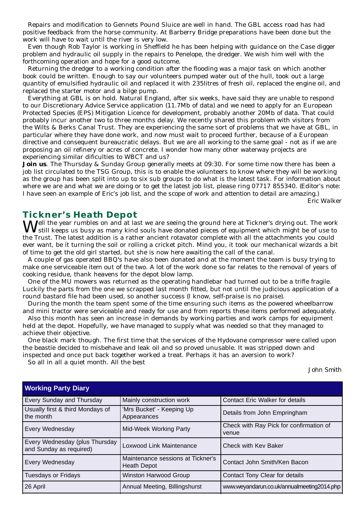Repairs and modification to Gennets Pound Sluice are well in hand. The GBL access road has had positive feedback from the horse community. At Barberry Bridge preparations have been done but the work will have to wait until the river is very low.

Even though Rob Taylor is working in Sheffield he has been helping with guidance on the Case digger problem and hydraulic oil supply in the repairs to *Penelope*, the dredger. We wish him well with the forthcoming operation and hope for a good outcome.

Returning the dredger to a working condition after the flooding was a major task on which another book could be written. Enough to say our volunteers pumped water out of the hull, took out a large quantity of emulsified hydraulic oil and replaced it with 235litres of fresh oil, replaced the engine oil, and replaced the starter motor and a bilge pump.

Everything at GBL is on hold. Natural England, after six weeks, have said they are unable to respond to our Discretionary Advice Service application (11.7Mb of data) and we need to apply for an European Protected Species (EPS) Mitigation Licence for development, probably another 20Mb of data. That could probably incur another two to three months delay. We recently shared this problem with visitors from the Wilts & Berks Canal Trust. They are experiencing the same sort of problems that we have at GBL, in particular where they have done work, and now must wait to proceed further, because of a European directive and consequent bureaucratic delays. But we are all working to the same goal - not as if we are proposing an oil refinery or acres of concrete. I wonder how many other waterway projects are experiencing similar dificulties to WBCT and us?

**Join us**. The Thursday & Sunday Group generally meets at 09:30. For some time now there has been a job list circulated to the TSG Group, this is to enable the volunteers to know where they will be working as the group has been split into up to six sub groups to do what is the latest task. For information about where we are and what we are doing or to get the latest job list, please ring 07717 855340. *(Editor's note: I have seen an example of Eric's job list, and the scope of work and attention to detail are amazing.)*

*Eric Walker*

# **Tickner's Heath Depot**

Well the year rumbles on and at last we are seeing the ground here at Tickner's drying out. The work still keeps us busy as many kind souls have donated pieces of equipment which might be of use to the Trust. The latest addition is a rather ancient rotavator complete with all the attachments you could ever want, be it turning the soil or rolling a cricket pitch. Mind you, it took our mechanical wizards a bit of time to get the old girl started, but she is now here awaiting the call of the canal.

A couple of gas operated BBQ's have also been donated and at the moment the team is busy trying to make one serviceable item out of the two. A lot of the work done so far relates to the removal of years of cooking residue, thank heavens for the depot blow lamp.

One of the MU mowers was returned as the operating handlebar had turned out to be a trifle fragile. Luckily the parts from the one we scrapped last month fitted, but not until the judicious application of a round bastard file had been used, so another success (I know, self-praise is no praise).

During the month the team spent some of the time ensuring such items as the powered wheelbarrow and mini tractor were serviceable and ready for use and from reports these items performed adequately.

Also this month has seen an increase in demands by working parties and work camps for equipment held at the depot. Hopefully, we have managed to supply what was needed so that they managed to achieve their objective.

One black mark though. The first time that the services of the Hydovane compressor were called upon the beastie decided to misbehave and leak oil and so proved unusable. It was stripped down and inspected and once put back together worked a treat. Perhaps it has an aversion to work?

So all in all a quiet month. All the best

*John Smith*

| <b>Working Party Diary</b>                                |                                                         |                                                  |  |  |
|-----------------------------------------------------------|---------------------------------------------------------|--------------------------------------------------|--|--|
| Every Sunday and Thursday                                 | Mainly construction work                                | <b>Contact Eric Walker for details</b>           |  |  |
| Usually first & third Mondays of<br>the month             | 'Mrs Bucket' - Keeping Up<br>Appearances                | Details from John Empringham                     |  |  |
| Every Wednesday                                           | Mid-Week Working Party                                  | Check with Ray Pick for confirmation of<br>venue |  |  |
| Every Wednesday (plus Thursday<br>and Sunday as required) | Loxwood Link Maintenance                                | Check with Kev Baker                             |  |  |
| Every Wednesday                                           | Maintenance sessions at Tickner's<br><b>Heath Depot</b> | Contact John Smith/Ken Bacon                     |  |  |
| <b>Tuesdays or Fridays</b>                                | Winston Harwood Group                                   | Contact Tony Clear for details                   |  |  |
| 26 April                                                  | Annual Meeting, Billingshurst                           | www.weyandarun.co.uk/annualmeeting2014.php       |  |  |